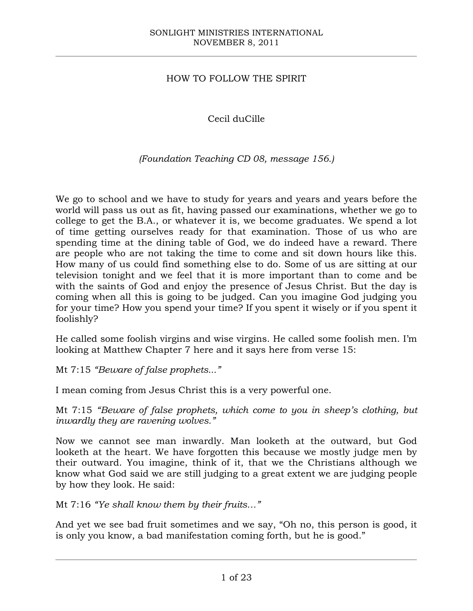## HOW TO FOLLOW THE SPIRIT

Cecil duCille

## *(Foundation Teaching CD 08, message 156.)*

We go to school and we have to study for years and years and years before the world will pass us out as fit, having passed our examinations, whether we go to college to get the B.A., or whatever it is, we become graduates. We spend a lot of time getting ourselves ready for that examination. Those of us who are spending time at the dining table of God, we do indeed have a reward. There are people who are not taking the time to come and sit down hours like this. How many of us could find something else to do. Some of us are sitting at our television tonight and we feel that it is more important than to come and be with the saints of God and enjoy the presence of Jesus Christ. But the day is coming when all this is going to be judged. Can you imagine God judging you for your time? How you spend your time? If you spent it wisely or if you spent it foolishly?

He called some foolish virgins and wise virgins. He called some foolish men. I'm looking at Matthew Chapter 7 here and it says here from verse 15:

Mt 7:15 *"Beware of false prophets..."*

I mean coming from Jesus Christ this is a very powerful one.

Mt 7:15 *"Beware of false prophets, which come to you in sheep's clothing, but inwardly they are ravening wolves."*

Now we cannot see man inwardly. Man looketh at the outward, but God looketh at the heart. We have forgotten this because we mostly judge men by their outward. You imagine, think of it, that we the Christians although we know what God said we are still judging to a great extent we are judging people by how they look. He said:

Mt 7:16 *"Ye shall know them by their fruits…"*

And yet we see bad fruit sometimes and we say, "Oh no, this person is good, it is only you know, a bad manifestation coming forth, but he is good."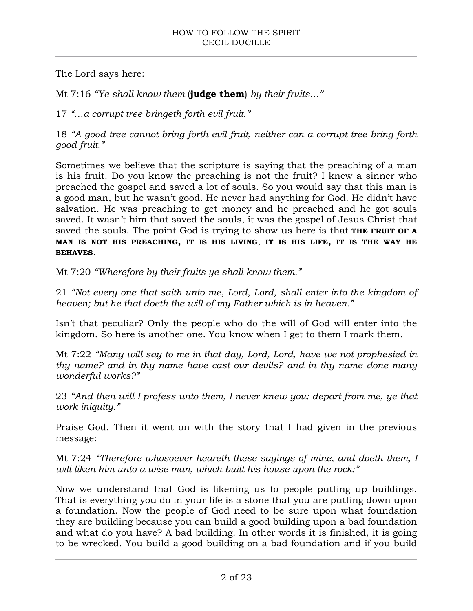The Lord says here:

Mt 7:16 *"Ye shall know them* (**judge them**) *by their fruits…"*

17 *"…a corrupt tree bringeth forth evil fruit."*

18 *"A good tree cannot bring forth evil fruit, neither can a corrupt tree bring forth good fruit."*

Sometimes we believe that the scripture is saying that the preaching of a man is his fruit. Do you know the preaching is not the fruit? I knew a sinner who preached the gospel and saved a lot of souls. So you would say that this man is a good man, but he wasn't good. He never had anything for God. He didn't have salvation. He was preaching to get money and he preached and he got souls saved. It wasn't him that saved the souls, it was the gospel of Jesus Christ that saved the souls. The point God is trying to show us here is that **THE FRUIT OF A MAN IS NOT HIS PREACHING, IT IS HIS LIVING**, **IT IS HIS LIFE, IT IS THE WAY HE BEHAVES**.

Mt 7:20 *"Wherefore by their fruits ye shall know them."*

21 *"Not every one that saith unto me, Lord, Lord, shall enter into the kingdom of heaven; but he that doeth the will of my Father which is in heaven."*

Isn't that peculiar? Only the people who do the will of God will enter into the kingdom. So here is another one. You know when I get to them I mark them.

Mt 7:22 *"Many will say to me in that day, Lord, Lord, have we not prophesied in thy name? and in thy name have cast our devils? and in thy name done many wonderful works?"*

23 *"And then will I profess unto them, I never knew you: depart from me, ye that work iniquity."*

Praise God. Then it went on with the story that I had given in the previous message:

Mt 7:24 *"Therefore whosoever heareth these sayings of mine, and doeth them, I will liken him unto a wise man, which built his house upon the rock:"*

Now we understand that God is likening us to people putting up buildings. That is everything you do in your life is a stone that you are putting down upon a foundation. Now the people of God need to be sure upon what foundation they are building because you can build a good building upon a bad foundation and what do you have? A bad building. In other words it is finished, it is going to be wrecked. You build a good building on a bad foundation and if you build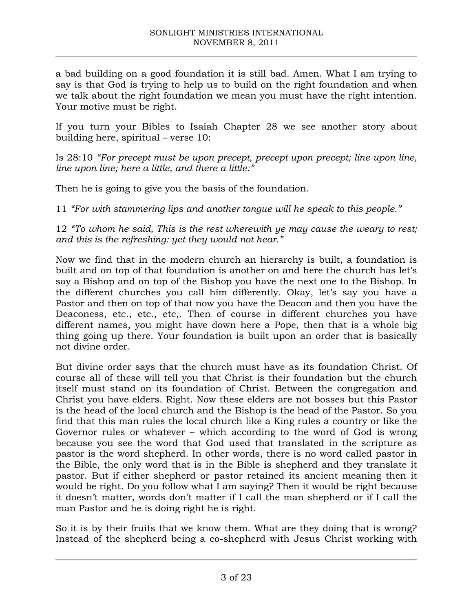a bad building on a good foundation it is still bad. Amen. What I am trying to say is that God is trying to help us to build on the right foundation and when we talk about the right foundation we mean you must have the right intention. Your motive must be right.

If you turn your Bibles to Isaiah Chapter 28 we see another story about building here, spiritual – verse 10:

Is 28:10 *"For precept must be upon precept, precept upon precept; line upon line, line upon line; here a little, and there a little:"*

Then he is going to give you the basis of the foundation.

11 *"For with stammering lips and another tongue will he speak to this people."*

12 *"To whom he said, This is the rest wherewith ye may cause the weary to rest; and this is the refreshing: yet they would not hear."*

Now we find that in the modern church an hierarchy is built, a foundation is built and on top of that foundation is another on and here the church has let's say a Bishop and on top of the Bishop you have the next one to the Bishop. In the different churches you call him differently. Okay, let's say you have a Pastor and then on top of that now you have the Deacon and then you have the Deaconess, etc., etc., etc,. Then of course in different churches you have different names, you might have down here a Pope, then that is a whole big thing going up there. Your foundation is built upon an order that is basically not divine order.

But divine order says that the church must have as its foundation Christ. Of course all of these will tell you that Christ is their foundation but the church itself must stand on its foundation of Christ. Between the congregation and Christ you have elders. Right. Now these elders are not bosses but this Pastor is the head of the local church and the Bishop is the head of the Pastor. So you find that this man rules the local church like a King rules a country or like the Governor rules or whatever – which according to the word of God is wrong because you see the word that God used that translated in the scripture as pastor is the word shepherd. In other words, there is no word called pastor in the Bible, the only word that is in the Bible is shepherd and they translate it pastor. But if either shepherd or pastor retained its ancient meaning then it would be right. Do you follow what I am saying? Then it would be right because it doesn't matter, words don't matter if I call the man shepherd or if I call the man Pastor and he is doing right he is right.

So it is by their fruits that we know them. What are they doing that is wrong? Instead of the shepherd being a co-shepherd with Jesus Christ working with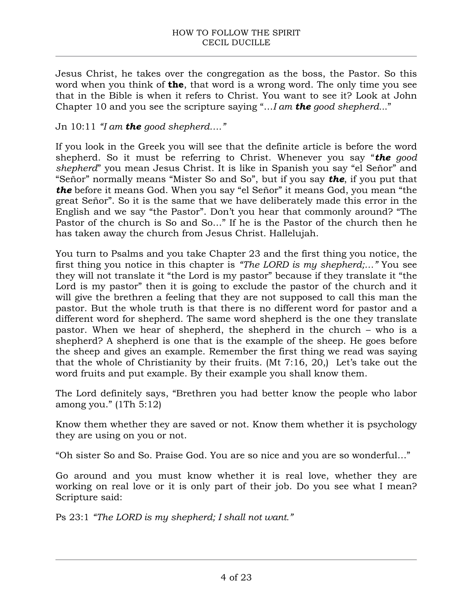Jesus Christ, he takes over the congregation as the boss, the Pastor. So this word when you think of **the**, that word is a wrong word. The only time you see that in the Bible is when it refers to Christ. You want to see it? Look at John Chapter 10 and you see the scripture saying "…*I am the good shepherd..*."

## Jn 10:11 *"I am the good shepherd…."*

If you look in the Greek you will see that the definite article is before the word shepherd. So it must be referring to Christ. Whenever you say "*the good shepherd*" you mean Jesus Christ. It is like in Spanish you say "el Señor" and "Señor" normally means "Mister So and So", but if you say *the*, if you put that *the* before it means God. When you say "el Señor" it means God, you mean "the great Señor". So it is the same that we have deliberately made this error in the English and we say "the Pastor". Don't you hear that commonly around? "The Pastor of the church is So and So…" If he is the Pastor of the church then he has taken away the church from Jesus Christ. Hallelujah.

You turn to Psalms and you take Chapter 23 and the first thing you notice, the first thing you notice in this chapter is *"The LORD is my shepherd;…"* You see they will not translate it "the Lord is my pastor" because if they translate it "the Lord is my pastor" then it is going to exclude the pastor of the church and it will give the brethren a feeling that they are not supposed to call this man the pastor. But the whole truth is that there is no different word for pastor and a different word for shepherd. The same word shepherd is the one they translate pastor. When we hear of shepherd, the shepherd in the church – who is a shepherd? A shepherd is one that is the example of the sheep. He goes before the sheep and gives an example. Remember the first thing we read was saying that the whole of Christianity by their fruits. (Mt 7:16, 20,) Let's take out the word fruits and put example. By their example you shall know them.

The Lord definitely says, "Brethren you had better know the people who labor among you." (1Th 5:12)

Know them whether they are saved or not. Know them whether it is psychology they are using on you or not.

"Oh sister So and So. Praise God. You are so nice and you are so wonderful…"

Go around and you must know whether it is real love, whether they are working on real love or it is only part of their job. Do you see what I mean? Scripture said:

Ps 23:1 *"The LORD is my shepherd; I shall not want."*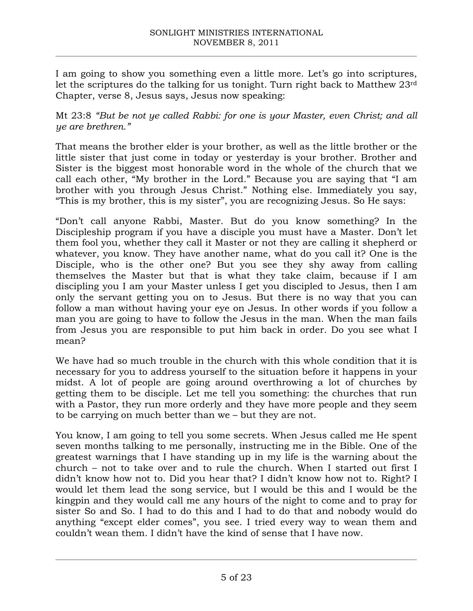I am going to show you something even a little more. Let's go into scriptures, let the scriptures do the talking for us tonight. Turn right back to Matthew 23rd Chapter, verse 8, Jesus says, Jesus now speaking:

Mt 23:8 *"But be not ye called Rabbi: for one is your Master, even Christ; and all ye are brethren."*

That means the brother elder is your brother, as well as the little brother or the little sister that just come in today or yesterday is your brother. Brother and Sister is the biggest most honorable word in the whole of the church that we call each other, "My brother in the Lord." Because you are saying that "I am brother with you through Jesus Christ." Nothing else. Immediately you say, "This is my brother, this is my sister", you are recognizing Jesus. So He says:

"Don't call anyone Rabbi, Master. But do you know something? In the Discipleship program if you have a disciple you must have a Master. Don't let them fool you, whether they call it Master or not they are calling it shepherd or whatever, you know. They have another name, what do you call it? One is the Disciple, who is the other one? But you see they shy away from calling themselves the Master but that is what they take claim, because if I am discipling you I am your Master unless I get you discipled to Jesus, then I am only the servant getting you on to Jesus. But there is no way that you can follow a man without having your eye on Jesus. In other words if you follow a man you are going to have to follow the Jesus in the man. When the man fails from Jesus you are responsible to put him back in order. Do you see what I mean?

We have had so much trouble in the church with this whole condition that it is necessary for you to address yourself to the situation before it happens in your midst. A lot of people are going around overthrowing a lot of churches by getting them to be disciple. Let me tell you something: the churches that run with a Pastor, they run more orderly and they have more people and they seem to be carrying on much better than we – but they are not.

You know, I am going to tell you some secrets. When Jesus called me He spent seven months talking to me personally, instructing me in the Bible. One of the greatest warnings that I have standing up in my life is the warning about the church – not to take over and to rule the church. When I started out first I didn't know how not to. Did you hear that? I didn't know how not to. Right? I would let them lead the song service, but I would be this and I would be the kingpin and they would call me any hours of the night to come and to pray for sister So and So. I had to do this and I had to do that and nobody would do anything "except elder comes", you see. I tried every way to wean them and couldn't wean them. I didn't have the kind of sense that I have now.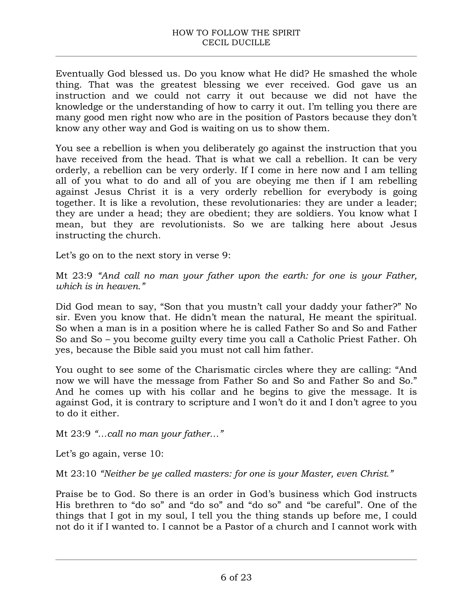Eventually God blessed us. Do you know what He did? He smashed the whole thing. That was the greatest blessing we ever received. God gave us an instruction and we could not carry it out because we did not have the knowledge or the understanding of how to carry it out. I'm telling you there are many good men right now who are in the position of Pastors because they don't know any other way and God is waiting on us to show them.

You see a rebellion is when you deliberately go against the instruction that you have received from the head. That is what we call a rebellion. It can be very orderly, a rebellion can be very orderly. If I come in here now and I am telling all of you what to do and all of you are obeying me then if I am rebelling against Jesus Christ it is a very orderly rebellion for everybody is going together. It is like a revolution, these revolutionaries: they are under a leader; they are under a head; they are obedient; they are soldiers. You know what I mean, but they are revolutionists. So we are talking here about Jesus instructing the church.

Let's go on to the next story in verse 9:

Mt 23:9 *"And call no man your father upon the earth: for one is your Father, which is in heaven."*

Did God mean to say, "Son that you mustn't call your daddy your father?" No sir. Even you know that. He didn't mean the natural, He meant the spiritual. So when a man is in a position where he is called Father So and So and Father So and So – you become guilty every time you call a Catholic Priest Father. Oh yes, because the Bible said you must not call him father.

You ought to see some of the Charismatic circles where they are calling: "And now we will have the message from Father So and So and Father So and So." And he comes up with his collar and he begins to give the message. It is against God, it is contrary to scripture and I won't do it and I don't agree to you to do it either.

Mt 23:9 *"…call no man your father…"*

Let's go again, verse 10:

Mt 23:10 *"Neither be ye called masters: for one is your Master, even Christ."*

Praise be to God. So there is an order in God's business which God instructs His brethren to "do so" and "do so" and "do so" and "be careful". One of the things that I got in my soul, I tell you the thing stands up before me, I could not do it if I wanted to. I cannot be a Pastor of a church and I cannot work with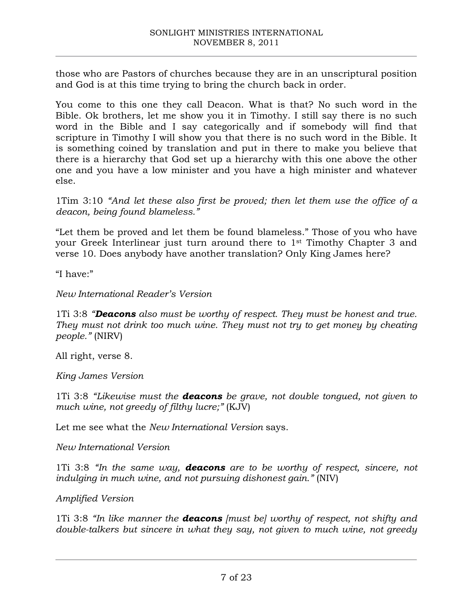those who are Pastors of churches because they are in an unscriptural position and God is at this time trying to bring the church back in order.

You come to this one they call Deacon. What is that? No such word in the Bible. Ok brothers, let me show you it in Timothy. I still say there is no such word in the Bible and I say categorically and if somebody will find that scripture in Timothy I will show you that there is no such word in the Bible. It is something coined by translation and put in there to make you believe that there is a hierarchy that God set up a hierarchy with this one above the other one and you have a low minister and you have a high minister and whatever else.

1Tim 3:10 *"And let these also first be proved; then let them use the office of a deacon, being found blameless."*

"Let them be proved and let them be found blameless." Those of you who have your Greek Interlinear just turn around there to 1st Timothy Chapter 3 and verse 10. Does anybody have another translation? Only King James here?

"I have:"

*New International Reader's Version* 

1Ti 3:8 *"Deacons also must be worthy of respect. They must be honest and true. They must not drink too much wine. They must not try to get money by cheating people."* (NIRV)

All right, verse 8.

*King James Version*

1Ti 3:8 *"Likewise must the deacons be grave, not double tongued, not given to much wine, not greedy of filthy lucre;"* (KJV)

Let me see what the *New International Version* says.

*New International Version*

1Ti 3:8 *"In the same way, deacons are to be worthy of respect, sincere, not indulging in much wine, and not pursuing dishonest gain."* (NIV)

*Amplified Version*

1Ti 3:8 *"In like manner the deacons [must be] worthy of respect, not shifty and double-talkers but sincere in what they say, not given to much wine, not greedy*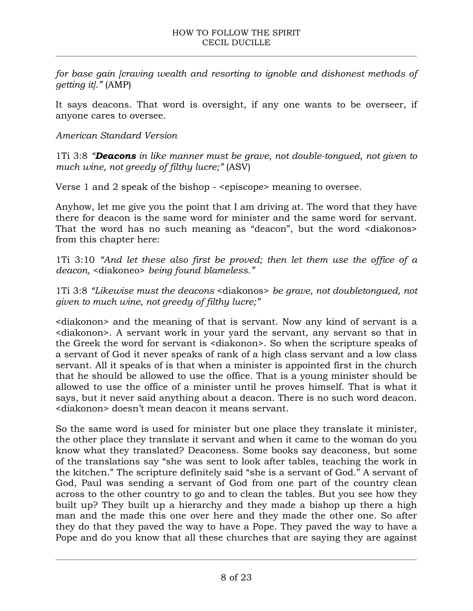*for base gain [craving wealth and resorting to ignoble and dishonest methods of getting it]."* (AMP)

It says deacons. That word is oversight, if any one wants to be overseer, if anyone cares to oversee.

## *American Standard Version*

1Ti 3:8 *"Deacons in like manner must be grave, not double-tongued, not given to much wine, not greedy of filthy lucre;"* (ASV)

Verse 1 and 2 speak of the bishop - <episcope> meaning to oversee.

Anyhow, let me give you the point that I am driving at. The word that they have there for deacon is the same word for minister and the same word for servant. That the word has no such meaning as "deacon", but the word <diakonos> from this chapter here:

1Ti 3:10 *"And let these also first be proved; then let them use the office of a deacon,* <diakoneo> *being found blameless."*

1Ti 3:8 *"Likewise must the deacons* <diakonos> *be grave, not doubletongued, not given to much wine, not greedy of filthy lucre;"*

<diakonon> and the meaning of that is servant. Now any kind of servant is a <diakonon>. A servant work in your yard the servant, any servant so that in the Greek the word for servant is <diakonon>. So when the scripture speaks of a servant of God it never speaks of rank of a high class servant and a low class servant. All it speaks of is that when a minister is appointed first in the church that he should be allowed to use the office. That is a young minister should be allowed to use the office of a minister until he proves himself. That is what it says, but it never said anything about a deacon. There is no such word deacon. <diakonon> doesn't mean deacon it means servant.

So the same word is used for minister but one place they translate it minister, the other place they translate it servant and when it came to the woman do you know what they translated? Deaconess. Some books say deaconess, but some of the translations say "she was sent to look after tables, teaching the work in the kitchen." The scripture definitely said "she is a servant of God." A servant of God, Paul was sending a servant of God from one part of the country clean across to the other country to go and to clean the tables. But you see how they built up? They built up a hierarchy and they made a bishop up there a high man and the made this one over here and they made the other one. So after they do that they paved the way to have a Pope. They paved the way to have a Pope and do you know that all these churches that are saying they are against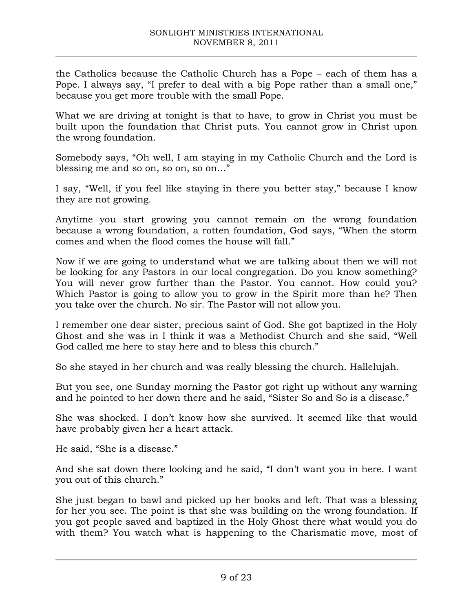the Catholics because the Catholic Church has a Pope – each of them has a Pope. I always say, "I prefer to deal with a big Pope rather than a small one," because you get more trouble with the small Pope.

What we are driving at tonight is that to have, to grow in Christ you must be built upon the foundation that Christ puts. You cannot grow in Christ upon the wrong foundation.

Somebody says, "Oh well, I am staying in my Catholic Church and the Lord is blessing me and so on, so on, so on…"

I say, "Well, if you feel like staying in there you better stay," because I know they are not growing.

Anytime you start growing you cannot remain on the wrong foundation because a wrong foundation, a rotten foundation, God says, "When the storm comes and when the flood comes the house will fall."

Now if we are going to understand what we are talking about then we will not be looking for any Pastors in our local congregation. Do you know something? You will never grow further than the Pastor. You cannot. How could you? Which Pastor is going to allow you to grow in the Spirit more than he? Then you take over the church. No sir. The Pastor will not allow you.

I remember one dear sister, precious saint of God. She got baptized in the Holy Ghost and she was in I think it was a Methodist Church and she said, "Well God called me here to stay here and to bless this church."

So she stayed in her church and was really blessing the church. Hallelujah.

But you see, one Sunday morning the Pastor got right up without any warning and he pointed to her down there and he said, "Sister So and So is a disease."

She was shocked. I don't know how she survived. It seemed like that would have probably given her a heart attack.

He said, "She is a disease."

And she sat down there looking and he said, "I don't want you in here. I want you out of this church."

She just began to bawl and picked up her books and left. That was a blessing for her you see. The point is that she was building on the wrong foundation. If you got people saved and baptized in the Holy Ghost there what would you do with them? You watch what is happening to the Charismatic move, most of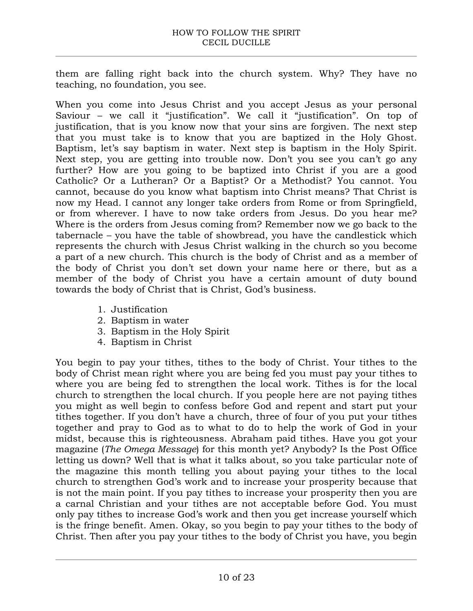them are falling right back into the church system. Why? They have no teaching, no foundation, you see.

When you come into Jesus Christ and you accept Jesus as your personal Saviour – we call it "justification". We call it "justification". On top of justification, that is you know now that your sins are forgiven. The next step that you must take is to know that you are baptized in the Holy Ghost. Baptism, let's say baptism in water. Next step is baptism in the Holy Spirit. Next step, you are getting into trouble now. Don't you see you can't go any further? How are you going to be baptized into Christ if you are a good Catholic? Or a Lutheran? Or a Baptist? Or a Methodist? You cannot. You cannot, because do you know what baptism into Christ means? That Christ is now my Head. I cannot any longer take orders from Rome or from Springfield, or from wherever. I have to now take orders from Jesus. Do you hear me? Where is the orders from Jesus coming from? Remember now we go back to the tabernacle – you have the table of showbread, you have the candlestick which represents the church with Jesus Christ walking in the church so you become a part of a new church. This church is the body of Christ and as a member of the body of Christ you don't set down your name here or there, but as a member of the body of Christ you have a certain amount of duty bound towards the body of Christ that is Christ, God's business.

- 1. Justification
- 2. Baptism in water
- 3. Baptism in the Holy Spirit
- 4. Baptism in Christ

You begin to pay your tithes, tithes to the body of Christ. Your tithes to the body of Christ mean right where you are being fed you must pay your tithes to where you are being fed to strengthen the local work. Tithes is for the local church to strengthen the local church. If you people here are not paying tithes you might as well begin to confess before God and repent and start put your tithes together. If you don't have a church, three of four of you put your tithes together and pray to God as to what to do to help the work of God in your midst, because this is righteousness. Abraham paid tithes. Have you got your magazine (*The Omega Message*) for this month yet? Anybody? Is the Post Office letting us down? Well that is what it talks about, so you take particular note of the magazine this month telling you about paying your tithes to the local church to strengthen God's work and to increase your prosperity because that is not the main point. If you pay tithes to increase your prosperity then you are a carnal Christian and your tithes are not acceptable before God. You must only pay tithes to increase God's work and then you get increase yourself which is the fringe benefit. Amen. Okay, so you begin to pay your tithes to the body of Christ. Then after you pay your tithes to the body of Christ you have, you begin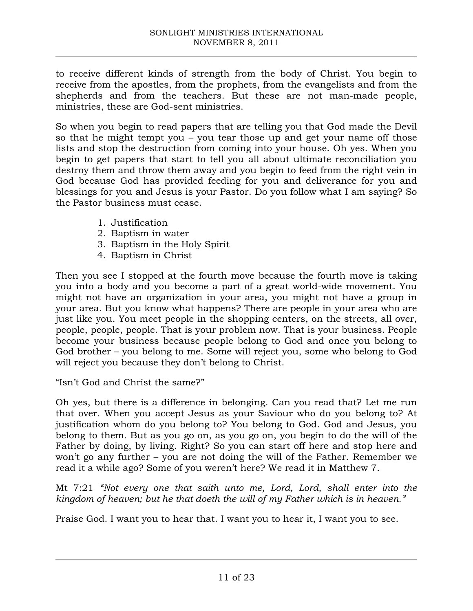to receive different kinds of strength from the body of Christ. You begin to receive from the apostles, from the prophets, from the evangelists and from the shepherds and from the teachers. But these are not man-made people, ministries, these are God-sent ministries.

So when you begin to read papers that are telling you that God made the Devil so that he might tempt you – you tear those up and get your name off those lists and stop the destruction from coming into your house. Oh yes. When you begin to get papers that start to tell you all about ultimate reconciliation you destroy them and throw them away and you begin to feed from the right vein in God because God has provided feeding for you and deliverance for you and blessings for you and Jesus is your Pastor. Do you follow what I am saying? So the Pastor business must cease.

- 1. Justification
- 2. Baptism in water
- 3. Baptism in the Holy Spirit
- 4. Baptism in Christ

Then you see I stopped at the fourth move because the fourth move is taking you into a body and you become a part of a great world-wide movement. You might not have an organization in your area, you might not have a group in your area. But you know what happens? There are people in your area who are just like you. You meet people in the shopping centers, on the streets, all over, people, people, people. That is your problem now. That is your business. People become your business because people belong to God and once you belong to God brother – you belong to me. Some will reject you, some who belong to God will reject you because they don't belong to Christ.

"Isn't God and Christ the same?"

Oh yes, but there is a difference in belonging. Can you read that? Let me run that over. When you accept Jesus as your Saviour who do you belong to? At justification whom do you belong to? You belong to God. God and Jesus, you belong to them. But as you go on, as you go on, you begin to do the will of the Father by doing, by living. Right? So you can start off here and stop here and won't go any further – you are not doing the will of the Father. Remember we read it a while ago? Some of you weren't here? We read it in Matthew 7.

Mt 7:21 *"Not every one that saith unto me, Lord, Lord, shall enter into the kingdom of heaven; but he that doeth the will of my Father which is in heaven."*

Praise God. I want you to hear that. I want you to hear it, I want you to see.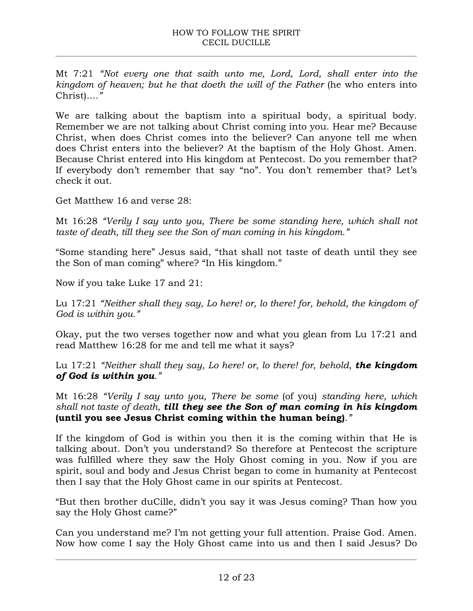Mt 7:21 *"Not every one that saith unto me, Lord, Lord, shall enter into the kingdom of heaven; but he that doeth the will of the Father (he who enters into* Christ)...*."*

We are talking about the baptism into a spiritual body, a spiritual body. Remember we are not talking about Christ coming into you. Hear me? Because Christ, when does Christ comes into the believer? Can anyone tell me when does Christ enters into the believer? At the baptism of the Holy Ghost. Amen. Because Christ entered into His kingdom at Pentecost. Do you remember that? If everybody don't remember that say "no". You don't remember that? Let's check it out.

Get Matthew 16 and verse 28:

Mt 16:28 *"Verily I say unto you, There be some standing here, which shall not taste of death, till they see the Son of man coming in his kingdom."*

"Some standing here" Jesus said, "that shall not taste of death until they see the Son of man coming" where? "In His kingdom."

Now if you take Luke 17 and 21:

Lu 17:21 *"Neither shall they say, Lo here! or, lo there! for, behold, the kingdom of God is within you."*

Okay, put the two verses together now and what you glean from Lu 17:21 and read Matthew 16:28 for me and tell me what it says?

Lu 17:21 *"Neither shall they say, Lo here! or, lo there! for, behold, the kingdom of God is within you."*

Mt 16:28 *"Verily I say unto you, There be some* (of you) *standing here, which shall not taste of death, till they see the Son of man coming in his kingdom*  **(until you see Jesus Christ coming within the human being)***."* 

If the kingdom of God is within you then it is the coming within that He is talking about. Don't you understand? So therefore at Pentecost the scripture was fulfilled where they saw the Holy Ghost coming in you. Now if you are spirit, soul and body and Jesus Christ began to come in humanity at Pentecost then I say that the Holy Ghost came in our spirits at Pentecost.

"But then brother duCille, didn't you say it was Jesus coming? Than how you say the Holy Ghost came?"

Can you understand me? I'm not getting your full attention. Praise God. Amen. Now how come I say the Holy Ghost came into us and then I said Jesus? Do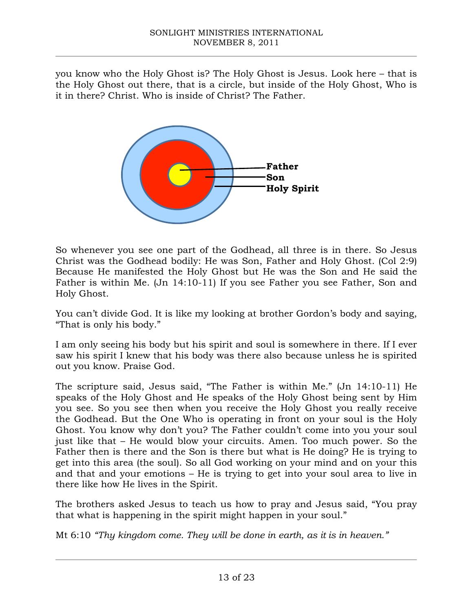you know who the Holy Ghost is? The Holy Ghost is Jesus. Look here – that is the Holy Ghost out there, that is a circle, but inside of the Holy Ghost, Who is it in there? Christ. Who is inside of Christ? The Father.



So whenever you see one part of the Godhead, all three is in there. So Jesus Christ was the Godhead bodily: He was Son, Father and Holy Ghost. (Col 2:9) Because He manifested the Holy Ghost but He was the Son and He said the Father is within Me. (Jn 14:10-11) If you see Father you see Father, Son and Holy Ghost.

You can't divide God. It is like my looking at brother Gordon's body and saying, "That is only his body."

I am only seeing his body but his spirit and soul is somewhere in there. If I ever saw his spirit I knew that his body was there also because unless he is spirited out you know. Praise God.

The scripture said, Jesus said, "The Father is within Me." (Jn 14:10-11) He speaks of the Holy Ghost and He speaks of the Holy Ghost being sent by Him you see. So you see then when you receive the Holy Ghost you really receive the Godhead. But the One Who is operating in front on your soul is the Holy Ghost. You know why don't you? The Father couldn't come into you your soul just like that – He would blow your circuits. Amen. Too much power. So the Father then is there and the Son is there but what is He doing? He is trying to get into this area (the soul). So all God working on your mind and on your this and that and your emotions – He is trying to get into your soul area to live in there like how He lives in the Spirit.

The brothers asked Jesus to teach us how to pray and Jesus said, "You pray that what is happening in the spirit might happen in your soul."

Mt 6:10 *"Thy kingdom come. They will be done in earth, as it is in heaven."*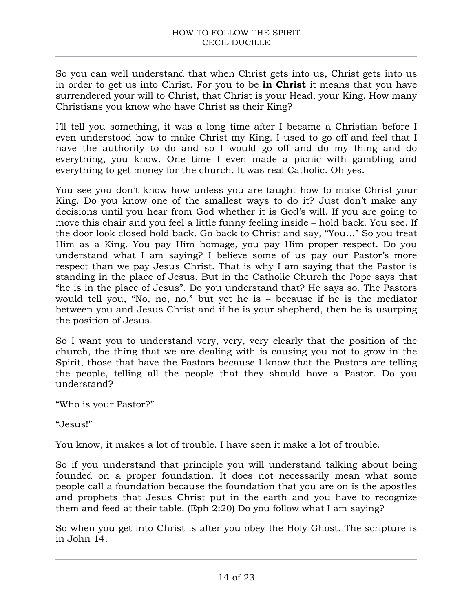So you can well understand that when Christ gets into us, Christ gets into us in order to get us into Christ. For you to be **in Christ** it means that you have surrendered your will to Christ, that Christ is your Head, your King. How many Christians you know who have Christ as their King?

I'll tell you something, it was a long time after I became a Christian before I even understood how to make Christ my King. I used to go off and feel that I have the authority to do and so I would go off and do my thing and do everything, you know. One time I even made a picnic with gambling and everything to get money for the church. It was real Catholic. Oh yes.

You see you don't know how unless you are taught how to make Christ your King. Do you know one of the smallest ways to do it? Just don't make any decisions until you hear from God whether it is God's will. If you are going to move this chair and you feel a little funny feeling inside – hold back. You see. If the door look closed hold back. Go back to Christ and say, "You…" So you treat Him as a King. You pay Him homage, you pay Him proper respect. Do you understand what I am saying? I believe some of us pay our Pastor's more respect than we pay Jesus Christ. That is why I am saying that the Pastor is standing in the place of Jesus. But in the Catholic Church the Pope says that "he is in the place of Jesus". Do you understand that? He says so. The Pastors would tell you, "No, no, no," but yet he is – because if he is the mediator between you and Jesus Christ and if he is your shepherd, then he is usurping the position of Jesus.

So I want you to understand very, very, very clearly that the position of the church, the thing that we are dealing with is causing you not to grow in the Spirit, those that have the Pastors because I know that the Pastors are telling the people, telling all the people that they should have a Pastor. Do you understand?

"Who is your Pastor?"

"Jesus!"

You know, it makes a lot of trouble. I have seen it make a lot of trouble.

So if you understand that principle you will understand talking about being founded on a proper foundation. It does not necessarily mean what some people call a foundation because the foundation that you are on is the apostles and prophets that Jesus Christ put in the earth and you have to recognize them and feed at their table. (Eph 2:20) Do you follow what I am saying?

So when you get into Christ is after you obey the Holy Ghost. The scripture is in John 14.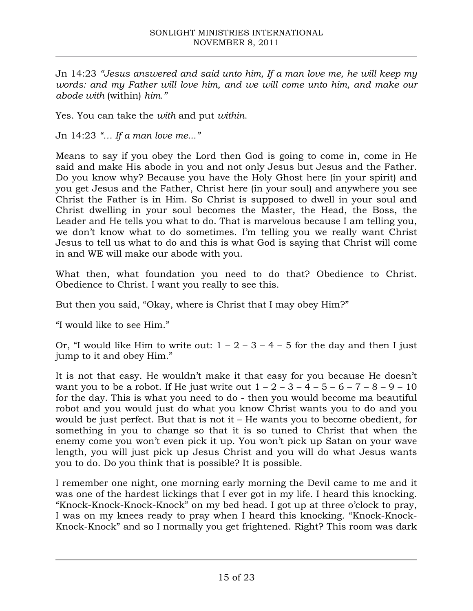Jn 14:23 *"Jesus answered and said unto him, If a man love me, he will keep my words: and my Father will love him, and we will come unto him, and make our abode with* (within) *him."*

Yes. You can take the *with* and put *within*.

Jn 14:23 *"… If a man love me..."*

Means to say if you obey the Lord then God is going to come in, come in He said and make His abode in you and not only Jesus but Jesus and the Father. Do you know why? Because you have the Holy Ghost here (in your spirit) and you get Jesus and the Father, Christ here (in your soul) and anywhere you see Christ the Father is in Him. So Christ is supposed to dwell in your soul and Christ dwelling in your soul becomes the Master, the Head, the Boss, the Leader and He tells you what to do. That is marvelous because I am telling you, we don't know what to do sometimes. I'm telling you we really want Christ Jesus to tell us what to do and this is what God is saying that Christ will come in and WE will make our abode with you.

What then, what foundation you need to do that? Obedience to Christ. Obedience to Christ. I want you really to see this.

But then you said, "Okay, where is Christ that I may obey Him?"

"I would like to see Him."

Or, "I would like Him to write out:  $1 - 2 - 3 - 4 - 5$  for the day and then I just jump to it and obey Him."

It is not that easy. He wouldn't make it that easy for you because He doesn't want you to be a robot. If He just write out  $1 - 2 - 3 - 4 - 5 - 6 - 7 - 8 - 9 - 10$ for the day. This is what you need to do - then you would become ma beautiful robot and you would just do what you know Christ wants you to do and you would be just perfect. But that is not it – He wants you to become obedient, for something in you to change so that it is so tuned to Christ that when the enemy come you won't even pick it up. You won't pick up Satan on your wave length, you will just pick up Jesus Christ and you will do what Jesus wants you to do. Do you think that is possible? It is possible.

I remember one night, one morning early morning the Devil came to me and it was one of the hardest lickings that I ever got in my life. I heard this knocking. "Knock-Knock-Knock-Knock" on my bed head. I got up at three o'clock to pray, I was on my knees ready to pray when I heard this knocking. "Knock-Knock-Knock-Knock" and so I normally you get frightened. Right? This room was dark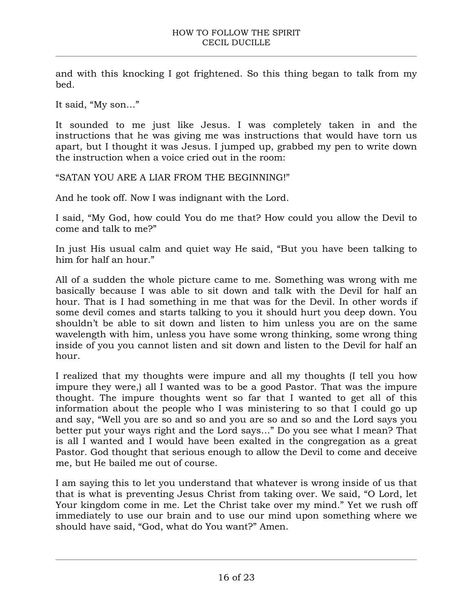and with this knocking I got frightened. So this thing began to talk from my bed.

It said, "My son…"

It sounded to me just like Jesus. I was completely taken in and the instructions that he was giving me was instructions that would have torn us apart, but I thought it was Jesus. I jumped up, grabbed my pen to write down the instruction when a voice cried out in the room:

"SATAN YOU ARE A LIAR FROM THE BEGINNING!"

And he took off. Now I was indignant with the Lord.

I said, "My God, how could You do me that? How could you allow the Devil to come and talk to me?"

In just His usual calm and quiet way He said, "But you have been talking to him for half an hour."

All of a sudden the whole picture came to me. Something was wrong with me basically because I was able to sit down and talk with the Devil for half an hour. That is I had something in me that was for the Devil. In other words if some devil comes and starts talking to you it should hurt you deep down. You shouldn't be able to sit down and listen to him unless you are on the same wavelength with him, unless you have some wrong thinking, some wrong thing inside of you you cannot listen and sit down and listen to the Devil for half an hour.

I realized that my thoughts were impure and all my thoughts (I tell you how impure they were,) all I wanted was to be a good Pastor. That was the impure thought. The impure thoughts went so far that I wanted to get all of this information about the people who I was ministering to so that I could go up and say, "Well you are so and so and you are so and so and the Lord says you better put your ways right and the Lord says…" Do you see what I mean? That is all I wanted and I would have been exalted in the congregation as a great Pastor. God thought that serious enough to allow the Devil to come and deceive me, but He bailed me out of course.

I am saying this to let you understand that whatever is wrong inside of us that that is what is preventing Jesus Christ from taking over. We said, "O Lord, let Your kingdom come in me. Let the Christ take over my mind." Yet we rush off immediately to use our brain and to use our mind upon something where we should have said, "God, what do You want?" Amen.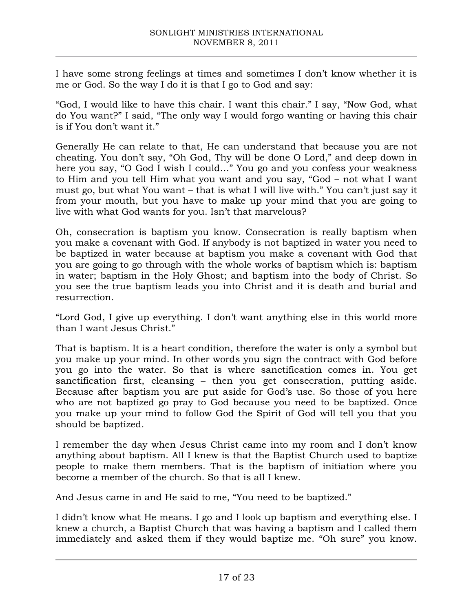I have some strong feelings at times and sometimes I don't know whether it is me or God. So the way I do it is that I go to God and say:

"God, I would like to have this chair. I want this chair." I say, "Now God, what do You want?" I said, "The only way I would forgo wanting or having this chair is if You don't want it."

Generally He can relate to that, He can understand that because you are not cheating. You don't say, "Oh God, Thy will be done O Lord," and deep down in here you say, "O God I wish I could…" You go and you confess your weakness to Him and you tell Him what you want and you say, "God – not what I want must go, but what You want – that is what I will live with." You can't just say it from your mouth, but you have to make up your mind that you are going to live with what God wants for you. Isn't that marvelous?

Oh, consecration is baptism you know. Consecration is really baptism when you make a covenant with God. If anybody is not baptized in water you need to be baptized in water because at baptism you make a covenant with God that you are going to go through with the whole works of baptism which is: baptism in water; baptism in the Holy Ghost; and baptism into the body of Christ. So you see the true baptism leads you into Christ and it is death and burial and resurrection.

"Lord God, I give up everything. I don't want anything else in this world more than I want Jesus Christ."

That is baptism. It is a heart condition, therefore the water is only a symbol but you make up your mind. In other words you sign the contract with God before you go into the water. So that is where sanctification comes in. You get sanctification first, cleansing – then you get consecration, putting aside. Because after baptism you are put aside for God's use. So those of you here who are not baptized go pray to God because you need to be baptized. Once you make up your mind to follow God the Spirit of God will tell you that you should be baptized.

I remember the day when Jesus Christ came into my room and I don't know anything about baptism. All I knew is that the Baptist Church used to baptize people to make them members. That is the baptism of initiation where you become a member of the church. So that is all I knew.

And Jesus came in and He said to me, "You need to be baptized."

I didn't know what He means. I go and I look up baptism and everything else. I knew a church, a Baptist Church that was having a baptism and I called them immediately and asked them if they would baptize me. "Oh sure" you know.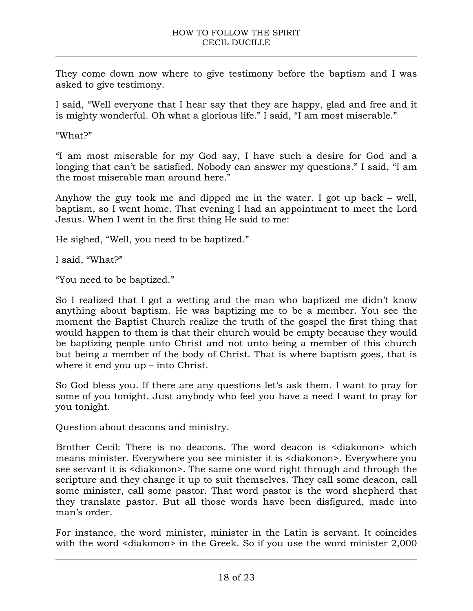They come down now where to give testimony before the baptism and I was asked to give testimony.

I said, "Well everyone that I hear say that they are happy, glad and free and it is mighty wonderful. Oh what a glorious life." I said, "I am most miserable."

"What?"

"I am most miserable for my God say, I have such a desire for God and a longing that can't be satisfied. Nobody can answer my questions." I said, "I am the most miserable man around here."

Anyhow the guy took me and dipped me in the water. I got up back – well, baptism, so I went home. That evening I had an appointment to meet the Lord Jesus. When I went in the first thing He said to me:

He sighed, "Well, you need to be baptized."

I said, "What?"

"You need to be baptized."

So I realized that I got a wetting and the man who baptized me didn't know anything about baptism. He was baptizing me to be a member. You see the moment the Baptist Church realize the truth of the gospel the first thing that would happen to them is that their church would be empty because they would be baptizing people unto Christ and not unto being a member of this church but being a member of the body of Christ. That is where baptism goes, that is where it end you up – into Christ.

So God bless you. If there are any questions let's ask them. I want to pray for some of you tonight. Just anybody who feel you have a need I want to pray for you tonight.

Question about deacons and ministry.

Brother Cecil: There is no deacons. The word deacon is <diakonon> which means minister. Everywhere you see minister it is <diakonon>. Everywhere you see servant it is <diakonon>. The same one word right through and through the scripture and they change it up to suit themselves. They call some deacon, call some minister, call some pastor. That word pastor is the word shepherd that they translate pastor. But all those words have been disfigured, made into man's order.

For instance, the word minister, minister in the Latin is servant. It coincides with the word <diakonon> in the Greek. So if you use the word minister 2,000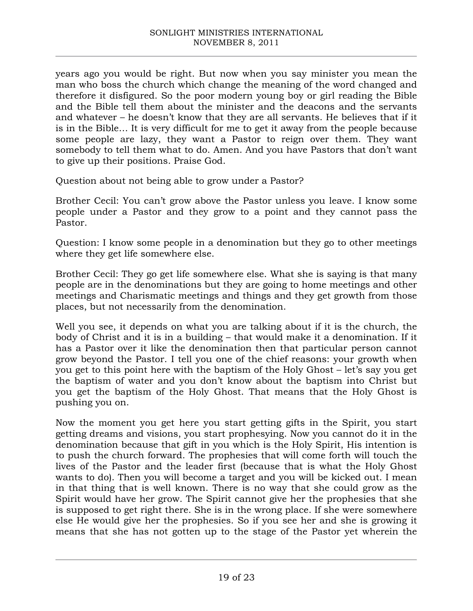years ago you would be right. But now when you say minister you mean the man who boss the church which change the meaning of the word changed and therefore it disfigured. So the poor modern young boy or girl reading the Bible and the Bible tell them about the minister and the deacons and the servants and whatever – he doesn't know that they are all servants. He believes that if it is in the Bible… It is very difficult for me to get it away from the people because some people are lazy, they want a Pastor to reign over them. They want somebody to tell them what to do. Amen. And you have Pastors that don't want to give up their positions. Praise God.

Question about not being able to grow under a Pastor?

Brother Cecil: You can't grow above the Pastor unless you leave. I know some people under a Pastor and they grow to a point and they cannot pass the Pastor.

Question: I know some people in a denomination but they go to other meetings where they get life somewhere else.

Brother Cecil: They go get life somewhere else. What she is saying is that many people are in the denominations but they are going to home meetings and other meetings and Charismatic meetings and things and they get growth from those places, but not necessarily from the denomination.

Well you see, it depends on what you are talking about if it is the church, the body of Christ and it is in a building – that would make it a denomination. If it has a Pastor over it like the denomination then that particular person cannot grow beyond the Pastor. I tell you one of the chief reasons: your growth when you get to this point here with the baptism of the Holy Ghost – let's say you get the baptism of water and you don't know about the baptism into Christ but you get the baptism of the Holy Ghost. That means that the Holy Ghost is pushing you on.

Now the moment you get here you start getting gifts in the Spirit, you start getting dreams and visions, you start prophesying. Now you cannot do it in the denomination because that gift in you which is the Holy Spirit, His intention is to push the church forward. The prophesies that will come forth will touch the lives of the Pastor and the leader first (because that is what the Holy Ghost wants to do). Then you will become a target and you will be kicked out. I mean in that thing that is well known. There is no way that she could grow as the Spirit would have her grow. The Spirit cannot give her the prophesies that she is supposed to get right there. She is in the wrong place. If she were somewhere else He would give her the prophesies. So if you see her and she is growing it means that she has not gotten up to the stage of the Pastor yet wherein the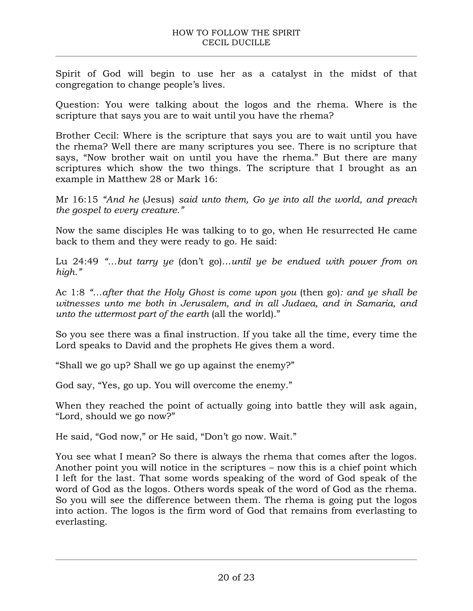Spirit of God will begin to use her as a catalyst in the midst of that congregation to change people's lives.

Question: You were talking about the logos and the rhema. Where is the scripture that says you are to wait until you have the rhema?

Brother Cecil: Where is the scripture that says you are to wait until you have the rhema? Well there are many scriptures you see. There is no scripture that says, "Now brother wait on until you have the rhema." But there are many scriptures which show the two things. The scripture that I brought as an example in Matthew 28 or Mark 16:

Mr 16:15 *"And he* (Jesus) *said unto them, Go ye into all the world, and preach the gospel to every creature."*

Now the same disciples He was talking to to go, when He resurrected He came back to them and they were ready to go. He said:

Lu 24:49 *"…but tarry ye* (don't go)…*until ye be endued with power from on high."*

Ac 1:8 *"…after that the Holy Ghost is come upon you* (then go)*: and ye shall be witnesses unto me both in Jerusalem, and in all Judaea, and in Samaria, and unto the uttermost part of the earth* (all the world)."

So you see there was a final instruction. If you take all the time, every time the Lord speaks to David and the prophets He gives them a word.

"Shall we go up? Shall we go up against the enemy?"

God say, "Yes, go up. You will overcome the enemy."

When they reached the point of actually going into battle they will ask again, "Lord, should we go now?"

He said, "God now," or He said, "Don't go now. Wait."

You see what I mean? So there is always the rhema that comes after the logos. Another point you will notice in the scriptures – now this is a chief point which I left for the last. That some words speaking of the word of God speak of the word of God as the logos. Others words speak of the word of God as the rhema. So you will see the difference between them. The rhema is going put the logos into action. The logos is the firm word of God that remains from everlasting to everlasting.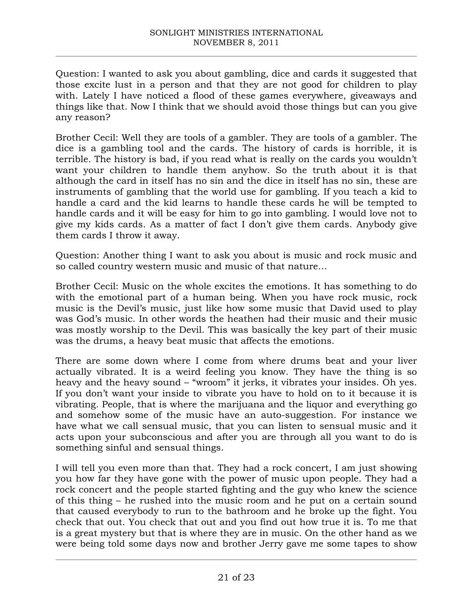Question: I wanted to ask you about gambling, dice and cards it suggested that those excite lust in a person and that they are not good for children to play with. Lately I have noticed a flood of these games everywhere, giveaways and things like that. Now I think that we should avoid those things but can you give any reason?

Brother Cecil: Well they are tools of a gambler. They are tools of a gambler. The dice is a gambling tool and the cards. The history of cards is horrible, it is terrible. The history is bad, if you read what is really on the cards you wouldn't want your children to handle them anyhow. So the truth about it is that although the card in itself has no sin and the dice in itself has no sin, these are instruments of gambling that the world use for gambling. If you teach a kid to handle a card and the kid learns to handle these cards he will be tempted to handle cards and it will be easy for him to go into gambling. I would love not to give my kids cards. As a matter of fact I don't give them cards. Anybody give them cards I throw it away.

Question: Another thing I want to ask you about is music and rock music and so called country western music and music of that nature…

Brother Cecil: Music on the whole excites the emotions. It has something to do with the emotional part of a human being. When you have rock music, rock music is the Devil's music, just like how some music that David used to play was God's music. In other words the heathen had their music and their music was mostly worship to the Devil. This was basically the key part of their music was the drums, a heavy beat music that affects the emotions.

There are some down where I come from where drums beat and your liver actually vibrated. It is a weird feeling you know. They have the thing is so heavy and the heavy sound – "wroom" it jerks, it vibrates your insides. Oh yes. If you don't want your inside to vibrate you have to hold on to it because it is vibrating. People, that is where the marijuana and the liquor and everything go and somehow some of the music have an auto-suggestion. For instance we have what we call sensual music, that you can listen to sensual music and it acts upon your subconscious and after you are through all you want to do is something sinful and sensual things.

I will tell you even more than that. They had a rock concert, I am just showing you how far they have gone with the power of music upon people. They had a rock concert and the people started fighting and the guy who knew the science of this thing – he rushed into the music room and he put on a certain sound that caused everybody to run to the bathroom and he broke up the fight. You check that out. You check that out and you find out how true it is. To me that is a great mystery but that is where they are in music. On the other hand as we were being told some days now and brother Jerry gave me some tapes to show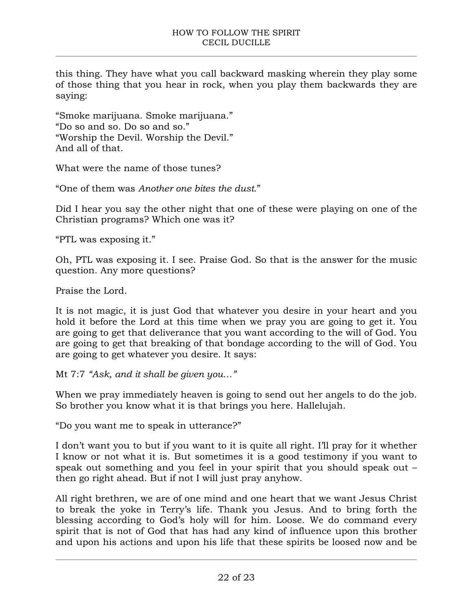this thing. They have what you call backward masking wherein they play some of those thing that you hear in rock, when you play them backwards they are saying:

"Smoke marijuana. Smoke marijuana." "Do so and so. Do so and so." "Worship the Devil. Worship the Devil." And all of that.

What were the name of those tunes?

"One of them was *Another one bites the dust*."

Did I hear you say the other night that one of these were playing on one of the Christian programs? Which one was it?

"PTL was exposing it."

Oh, PTL was exposing it. I see. Praise God. So that is the answer for the music question. Any more questions?

Praise the Lord.

It is not magic, it is just God that whatever you desire in your heart and you hold it before the Lord at this time when we pray you are going to get it. You are going to get that deliverance that you want according to the will of God. You are going to get that breaking of that bondage according to the will of God. You are going to get whatever you desire. It says:

Mt 7:7 *"Ask, and it shall be given you…"*

When we pray immediately heaven is going to send out her angels to do the job. So brother you know what it is that brings you here. Hallelujah.

"Do you want me to speak in utterance?"

I don't want you to but if you want to it is quite all right. I'll pray for it whether I know or not what it is. But sometimes it is a good testimony if you want to speak out something and you feel in your spirit that you should speak out – then go right ahead. But if not I will just pray anyhow.

All right brethren, we are of one mind and one heart that we want Jesus Christ to break the yoke in Terry's life. Thank you Jesus. And to bring forth the blessing according to God's holy will for him. Loose. We do command every spirit that is not of God that has had any kind of influence upon this brother and upon his actions and upon his life that these spirits be loosed now and be